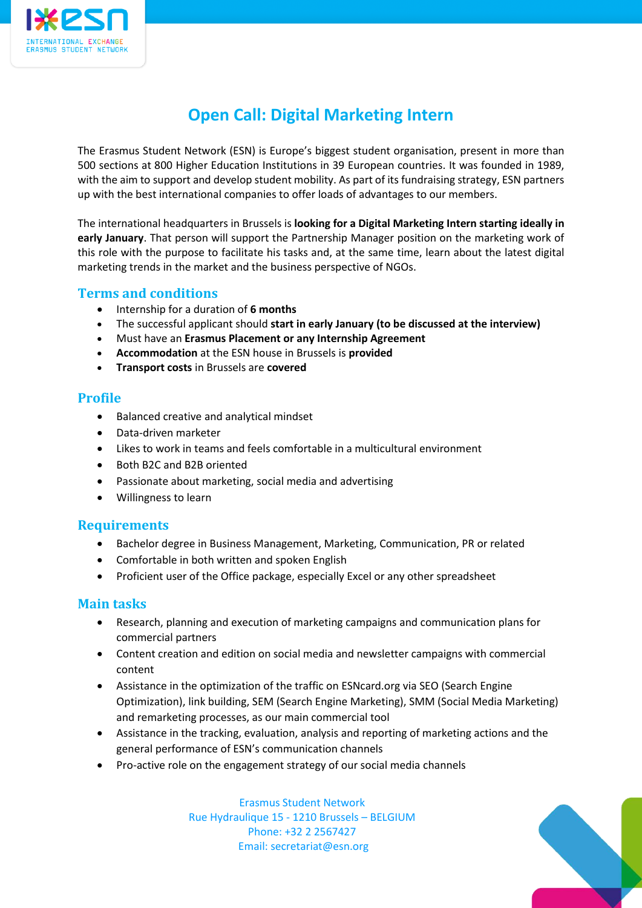

# **Open Call: Digital Marketing Intern**

The Erasmus Student Network (ESN) is Europe's biggest student organisation, present in more than 500 sections at 800 Higher Education Institutions in 39 European countries. It was founded in 1989, with the aim to support and develop student mobility. As part of its fundraising strategy, ESN partners up with the best international companies to offer loads of advantages to our members.

The international headquarters in Brussels is **looking for a Digital Marketing Intern starting ideally in early January**. That person will support the Partnership Manager position on the marketing work of this role with the purpose to facilitate his tasks and, at the same time, learn about the latest digital marketing trends in the market and the business perspective of NGOs.

## **Terms and conditions**

- Internship for a duration of **6 months**
- The successful applicant should **start in early January (to be discussed at the interview)**
- Must have an **Erasmus Placement or any Internship Agreement**
- **Accommodation** at the ESN house in Brussels is **provided**
- **Transport costs** in Brussels are **covered**

### **Profile**

- Balanced creative and analytical mindset
- Data-driven marketer
- Likes to work in teams and feels comfortable in a multicultural environment
- Both B2C and B2B oriented
- Passionate about marketing, social media and advertising
- Willingness to learn

### **Requirements**

- Bachelor degree in Business Management, Marketing, Communication, PR or related
- Comfortable in both written and spoken English
- Proficient user of the Office package, especially Excel or any other spreadsheet

#### **Main tasks**

- Research, planning and execution of marketing campaigns and communication plans for commercial partners
- Content creation and edition on social media and newsletter campaigns with commercial content
- Assistance in the optimization of the traffic on ESNcard.org via SEO (Search Engine Optimization), link building, SEM (Search Engine Marketing), SMM (Social Media Marketing) and remarketing processes, as our main commercial tool
- Assistance in the tracking, evaluation, analysis and reporting of marketing actions and the general performance of ESN's communication channels
- Pro-active role on the engagement strategy of our social media channels

Erasmus Student Network Rue Hydraulique 15 - 1210 Brussels – BELGIUM Phone: +32 2 2567427 Email: secretariat@esn.org